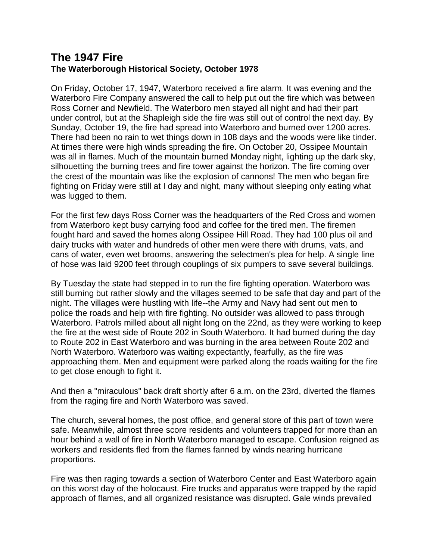## **The 1947 Fire The Waterborough Historical Society, October 1978**

On Friday, October 17, 1947, Waterboro received a fire alarm. It was evening and the Waterboro Fire Company answered the call to help put out the fire which was between Ross Corner and Newfield. The Waterboro men stayed all night and had their part under control, but at the Shapleigh side the fire was still out of control the next day. By Sunday, October 19, the fire had spread into Waterboro and burned over 1200 acres. There had been no rain to wet things down in 108 days and the woods were like tinder. At times there were high winds spreading the fire. On October 20, Ossipee Mountain was all in flames. Much of the mountain burned Monday night, lighting up the dark sky, silhouetting the burning trees and fire tower against the horizon. The fire coming over the crest of the mountain was like the explosion of cannons! The men who began fire fighting on Friday were still at I day and night, many without sleeping only eating what was lugged to them.

For the first few days Ross Corner was the headquarters of the Red Cross and women from Waterboro kept busy carrying food and coffee for the tired men. The firemen fought hard and saved the homes along Ossipee Hill Road. They had 100 plus oil and dairy trucks with water and hundreds of other men were there with drums, vats, and cans of water, even wet brooms, answering the selectmen's plea for help. A single line of hose was laid 9200 feet through couplings of six pumpers to save several buildings.

By Tuesday the state had stepped in to run the fire fighting operation. Waterboro was still burning but rather slowly and the villages seemed to be safe that day and part of the night. The villages were hustling with life--the Army and Navy had sent out men to police the roads and help with fire fighting. No outsider was allowed to pass through Waterboro. Patrols milled about all night long on the 22nd, as they were working to keep the fire at the west side of Route 202 in South Waterboro. It had burned during the day to Route 202 in East Waterboro and was burning in the area between Route 202 and North Waterboro. Waterboro was waiting expectantly, fearfully, as the fire was approaching them. Men and equipment were parked along the roads waiting for the fire to get close enough to fight it.

And then a "miraculous" back draft shortly after 6 a.m. on the 23rd, diverted the flames from the raging fire and North Waterboro was saved.

The church, several homes, the post office, and general store of this part of town were safe. Meanwhile, almost three score residents and volunteers trapped for more than an hour behind a wall of fire in North Waterboro managed to escape. Confusion reigned as workers and residents fled from the flames fanned by winds nearing hurricane proportions.

Fire was then raging towards a section of Waterboro Center and East Waterboro again on this worst day of the holocaust. Fire trucks and apparatus were trapped by the rapid approach of flames, and all organized resistance was disrupted. Gale winds prevailed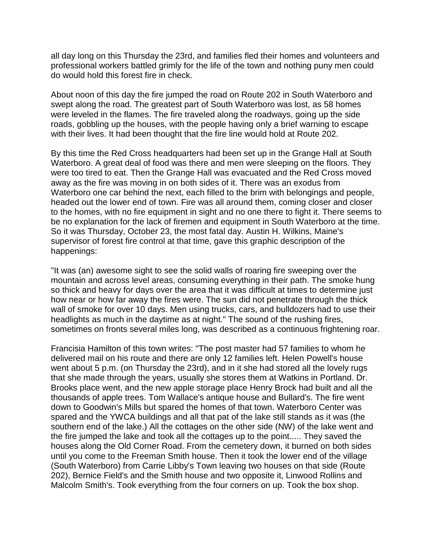all day long on this Thursday the 23rd, and families fled their homes and volunteers and professional workers battled grimly for the life of the town and nothing puny men could do would hold this forest fire in check.

About noon of this day the fire jumped the road on Route 202 in South Waterboro and swept along the road. The greatest part of South Waterboro was lost, as 58 homes were leveled in the flames. The fire traveled along the roadways, going up the side roads, gobbling up the houses, with the people having only a brief warning to escape with their lives. It had been thought that the fire line would hold at Route 202.

By this time the Red Cross headquarters had been set up in the Grange Hall at South Waterboro. A great deal of food was there and men were sleeping on the floors. They were too tired to eat. Then the Grange Hall was evacuated and the Red Cross moved away as the fire was moving in on both sides of it. There was an exodus from Waterboro one car behind the next, each filled to the brim with belongings and people, headed out the lower end of town. Fire was all around them, coming closer and closer to the homes, with no fire equipment in sight and no one there to fight it. There seems to be no explanation for the lack of firemen and equipment in South Waterboro at the time. So it was Thursday, October 23, the most fatal day. Austin H. Wilkins, Maine's supervisor of forest fire control at that time, gave this graphic description of the happenings:

"It was (an) awesome sight to see the solid walls of roaring fire sweeping over the mountain and across level areas, consuming everything in their path. The smoke hung so thick and heavy for days over the area that it was difficult at times to determine just how near or how far away the fires were. The sun did not penetrate through the thick wall of smoke for over 10 days. Men using trucks, cars, and bulldozers had to use their headlights as much in the daytime as at night." The sound of the rushing fires, sometimes on fronts several miles long, was described as a continuous frightening roar.

Francisia Hamilton of this town writes: "The post master had 57 families to whom he delivered mail on his route and there are only 12 families left. Helen Powell's house went about 5 p.m. (on Thursday the 23rd), and in it she had stored all the lovely rugs that she made through the years, usually she stores them at Watkins in Portland. Dr. Brooks place went, and the new apple storage place Henry Brock had built and all the thousands of apple trees. Tom Wallace's antique house and Bullard's. The fire went down to Goodwin's Mills but spared the homes of that town. Waterboro Center was spared and the YWCA buildings and all that pat of the lake still stands as it was (the southern end of the lake.) All the cottages on the other side (NW) of the lake went and the fire jumped the lake and took all the cottages up to the point..... They saved the houses along the Old Corner Road. From the cemetery down, it burned on both sides until you come to the Freeman Smith house. Then it took the lower end of the village (South Waterboro) from Carrie Libby's Town leaving two houses on that side (Route 202), Bernice Field's and the Smith house and two opposite it, Linwood Rollins and Malcolm Smith's. Took everything from the four corners on up. Took the box shop.